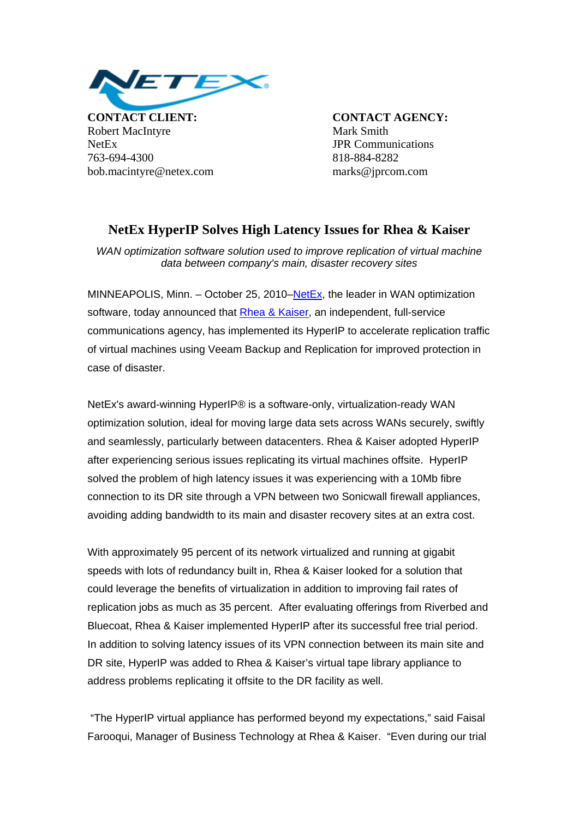

**CONTACT CLIENT: CONTACT AGENCY:** Robert MacIntyre Mark Smith NetEx JPR Communications 763-694-4300 818-884-8282 bob.macintyre@netex.com marks@jprcom.com

## **NetEx HyperIP Solves High Latency Issues for Rhea & Kaiser**

*WAN optimization software solution used to improve replication of virtual machine data between company's main, disaster recovery sites* 

MINNEAPOLIS, Minn. – October 25, 2010–[NetEx](http://www.netex.com/), the leader in WAN optimization software, today announced that [Rhea & Kaiser](http://www.rkconnect.com/), an independent, full-service communications agency, has implemented its HyperIP to accelerate replication traffic of virtual machines using Veeam Backup and Replication for improved protection in case of disaster.

NetEx's award-winning HyperIP® is a software-only, virtualization-ready WAN optimization solution, ideal for moving large data sets across WANs securely, swiftly and seamlessly, particularly between datacenters. Rhea & Kaiser adopted HyperIP after experiencing serious issues replicating its virtual machines offsite. HyperIP solved the problem of high latency issues it was experiencing with a 10Mb fibre connection to its DR site through a VPN between two Sonicwall firewall appliances, avoiding adding bandwidth to its main and disaster recovery sites at an extra cost.

With approximately 95 percent of its network virtualized and running at gigabit speeds with lots of redundancy built in, Rhea & Kaiser looked for a solution that could leverage the benefits of virtualization in addition to improving fail rates of replication jobs as much as 35 percent. After evaluating offerings from Riverbed and Bluecoat, Rhea & Kaiser implemented HyperIP after its successful free trial period. In addition to solving latency issues of its VPN connection between its main site and DR site, HyperIP was added to Rhea & Kaiser's virtual tape library appliance to address problems replicating it offsite to the DR facility as well.

 "The HyperIP virtual appliance has performed beyond my expectations," said Faisal Farooqui, Manager of Business Technology at Rhea & Kaiser. "Even during our trial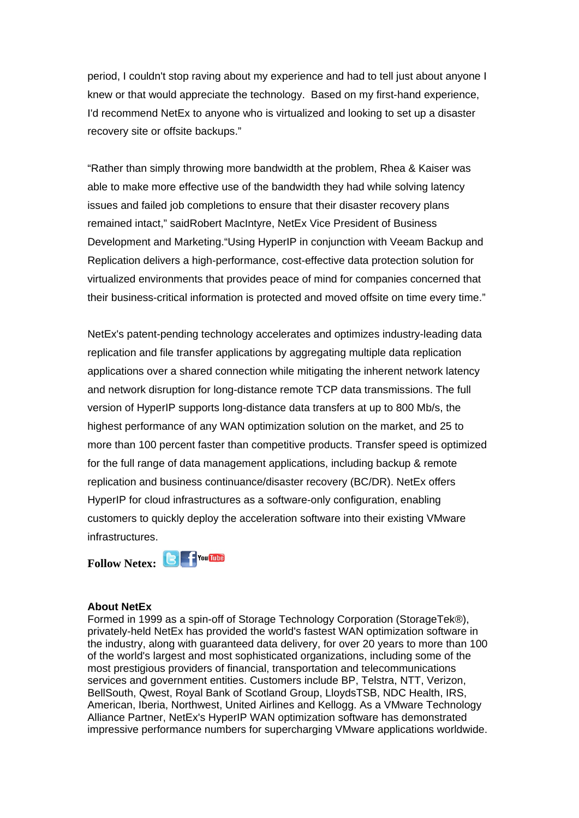period, I couldn't stop raving about my experience and had to tell just about anyone I knew or that would appreciate the technology. Based on my first-hand experience, I'd recommend NetEx to anyone who is virtualized and looking to set up a disaster recovery site or offsite backups."

"Rather than simply throwing more bandwidth at the problem, Rhea & Kaiser was able to make more effective use of the bandwidth they had while solving latency issues and failed job completions to ensure that their disaster recovery plans remained intact," saidRobert MacIntyre, NetEx Vice President of Business Development and Marketing."Using HyperIP in conjunction with Veeam Backup and Replication delivers a high-performance, cost-effective data protection solution for virtualized environments that provides peace of mind for companies concerned that their business-critical information is protected and moved offsite on time every time."

NetEx's patent-pending technology accelerates and optimizes industry-leading data replication and file transfer applications by aggregating multiple data replication applications over a shared connection while mitigating the inherent network latency and network disruption for long-distance remote TCP data transmissions. The full version of HyperIP supports long-distance data transfers at up to 800 Mb/s, the highest performance of any WAN optimization solution on the market, and 25 to more than 100 percent faster than competitive products. Transfer speed is optimized for the full range of data management applications, including backup & remote replication and business continuance/disaster recovery (BC/DR). NetEx offers HyperIP for cloud infrastructures as a software-only configuration, enabling customers to quickly deploy the acceleration software into their existing VMware infrastructures.



## **About NetEx**

Formed in 1999 as a spin-off of Storage Technology Corporation (StorageTek®), privately-held NetEx has provided the world's fastest WAN optimization software in the industry, along with guaranteed data delivery, for over 20 years to more than 100 of the world's largest and most sophisticated organizations, including some of the most prestigious providers of financial, transportation and telecommunications services and government entities. Customers include BP, Telstra, NTT, Verizon, BellSouth, Qwest, Royal Bank of Scotland Group, LloydsTSB, NDC Health, IRS, American, Iberia, Northwest, United Airlines and Kellogg. As a VMware Technology Alliance Partner, NetEx's HyperIP WAN optimization software has demonstrated impressive performance numbers for supercharging VMware applications worldwide.